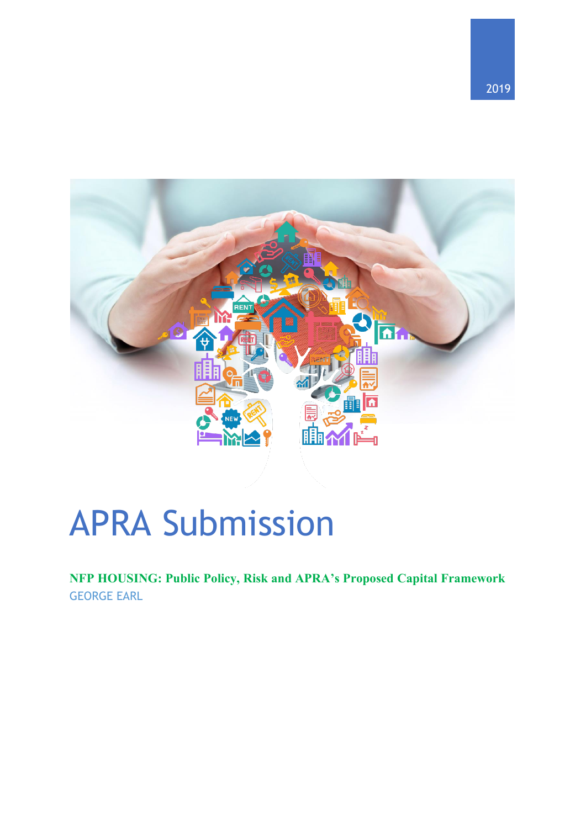

# APRA Submission

**NFP HOUSING: Public Policy, Risk and APRA's Proposed Capital Framework** GEORGE EARL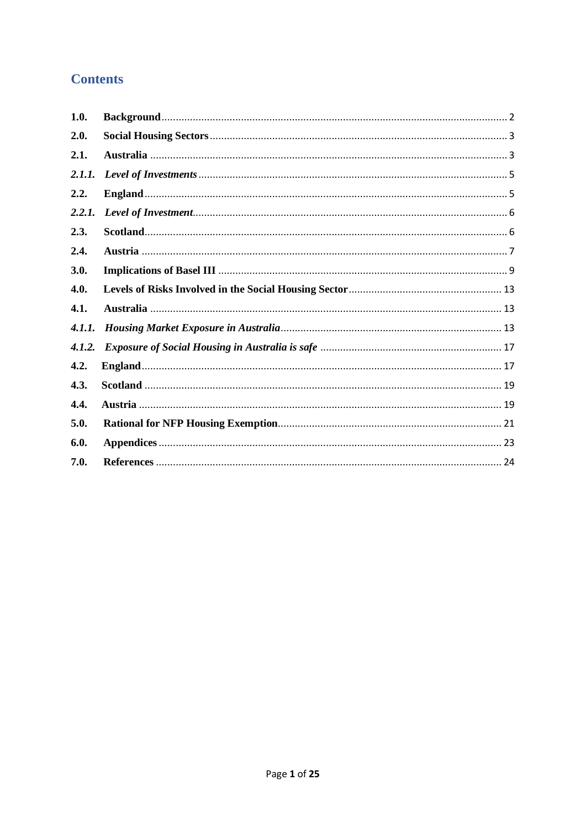# **Contents**

| 1.0.   |  |
|--------|--|
| 2.0.   |  |
| 2.1.   |  |
|        |  |
| 2.2.   |  |
| 2.2.1. |  |
| 2.3.   |  |
| 2.4.   |  |
| 3.0.   |  |
| 4.0.   |  |
| 4.1.   |  |
| 4.1.1. |  |
|        |  |
| 4.2.   |  |
| 4.3.   |  |
| 4.4.   |  |
| 5.0.   |  |
| 6.0.   |  |
| 7.0.   |  |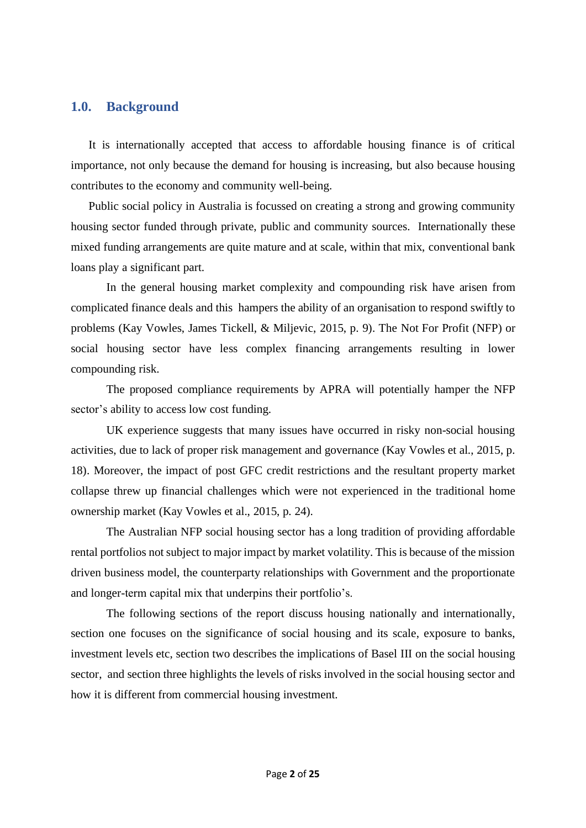## <span id="page-2-0"></span>**1.0. Background**

It is internationally accepted that access to affordable housing finance is of critical importance, not only because the demand for housing is increasing, but also because housing contributes to the economy and community well-being.

Public social policy in Australia is focussed on creating a strong and growing community housing sector funded through private, public and community sources. Internationally these mixed funding arrangements are quite mature and at scale, within that mix, conventional bank loans play a significant part.

In the general housing market complexity and compounding risk have arisen from complicated finance deals and this hampers the ability of an organisation to respond swiftly to problems (Kay Vowles, James Tickell, & Miljevic, 2015, p. 9). The Not For Profit (NFP) or social housing sector have less complex financing arrangements resulting in lower compounding risk.

The proposed compliance requirements by APRA will potentially hamper the NFP sector's ability to access low cost funding.

UK experience suggests that many issues have occurred in risky non-social housing activities, due to lack of proper risk management and governance (Kay Vowles et al., 2015, p. 18). Moreover, the impact of post GFC credit restrictions and the resultant property market collapse threw up financial challenges which were not experienced in the traditional home ownership market (Kay Vowles et al., 2015, p. 24).

The Australian NFP social housing sector has a long tradition of providing affordable rental portfolios not subject to major impact by market volatility. This is because of the mission driven business model, the counterparty relationships with Government and the proportionate and longer-term capital mix that underpins their portfolio's.

The following sections of the report discuss housing nationally and internationally, section one focuses on the significance of social housing and its scale, exposure to banks, investment levels etc, section two describes the implications of Basel III on the social housing sector, and section three highlights the levels of risks involved in the social housing sector and how it is different from commercial housing investment.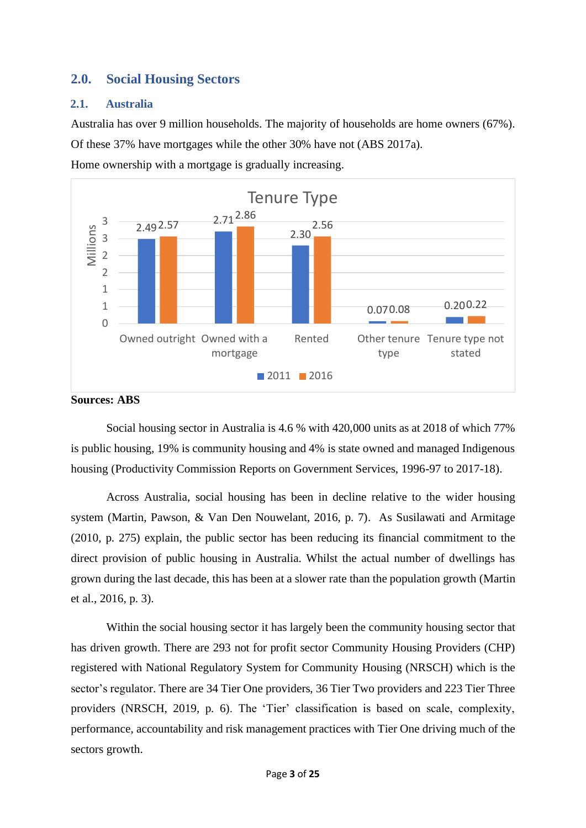# <span id="page-3-0"></span>**2.0. Social Housing Sectors**

## <span id="page-3-1"></span>**2.1. Australia**

Australia has over 9 million households. The majority of households are home owners (67%).

Of these 37% have mortgages while the other 30% have not (ABS 2017a).

Home ownership with a mortgage is gradually increasing.





Social housing sector in Australia is 4.6 % with 420,000 units as at 2018 of which 77% is public housing, 19% is community housing and 4% is state owned and managed Indigenous housing (Productivity Commission Reports on Government Services, 1996-97 to 2017-18).

Across Australia, social housing has been in decline relative to the wider housing system (Martin, Pawson, & Van Den Nouwelant, 2016, p. 7). As Susilawati and Armitage (2010, p. 275) explain, the public sector has been reducing its financial commitment to the direct provision of public housing in Australia. Whilst the actual number of dwellings has grown during the last decade, this has been at a slower rate than the population growth (Martin et al., 2016, p. 3).

Within the social housing sector it has largely been the community housing sector that has driven growth. There are 293 not for profit sector Community Housing Providers (CHP) registered with National Regulatory System for Community Housing (NRSCH) which is the sector's regulator. There are 34 Tier One providers, 36 Tier Two providers and 223 Tier Three providers (NRSCH, 2019, p. 6). The 'Tier' classification is based on scale, complexity, performance, accountability and risk management practices with Tier One driving much of the sectors growth.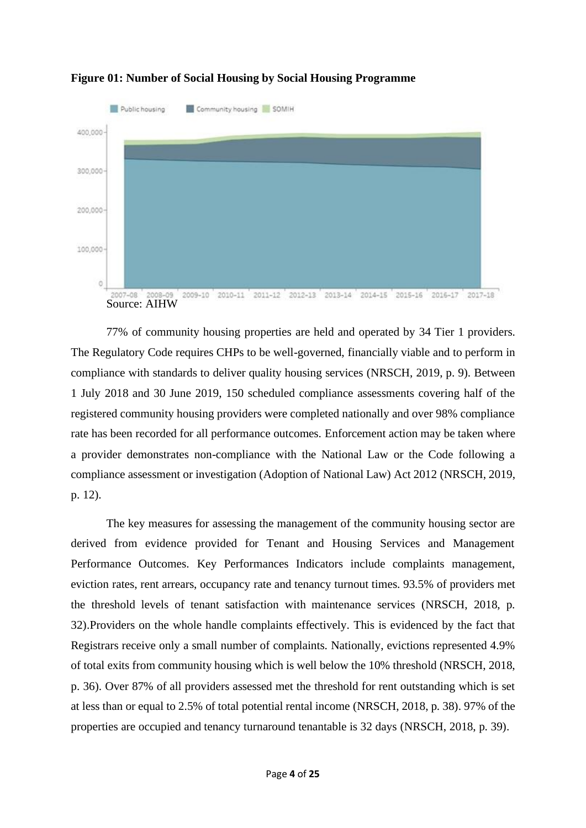

# **Figure 01: Number of Social Housing by Social Housing Programme**

77% of community housing properties are held and operated by 34 Tier 1 providers. The Regulatory Code requires CHPs to be well-governed, financially viable and to perform in compliance with standards to deliver quality housing services (NRSCH, 2019, p. 9). Between 1 July 2018 and 30 June 2019, 150 scheduled compliance assessments covering half of the registered community housing providers were completed nationally and over 98% compliance rate has been recorded for all performance outcomes. Enforcement action may be taken where a provider demonstrates non-compliance with the National Law or the Code following a compliance assessment or investigation (Adoption of National Law) Act 2012 (NRSCH, 2019, p. 12).

The key measures for assessing the management of the community housing sector are derived from evidence provided for Tenant and Housing Services and Management Performance Outcomes. Key Performances Indicators include complaints management, eviction rates, rent arrears, occupancy rate and tenancy turnout times. 93.5% of providers met the threshold levels of tenant satisfaction with maintenance services (NRSCH, 2018, p. 32).Providers on the whole handle complaints effectively. This is evidenced by the fact that Registrars receive only a small number of complaints. Nationally, evictions represented 4.9% of total exits from community housing which is well below the 10% threshold (NRSCH, 2018, p. 36). Over 87% of all providers assessed met the threshold for rent outstanding which is set at less than or equal to 2.5% of total potential rental income (NRSCH, 2018, p. 38). 97% of the properties are occupied and tenancy turnaround tenantable is 32 days (NRSCH, 2018, p. 39).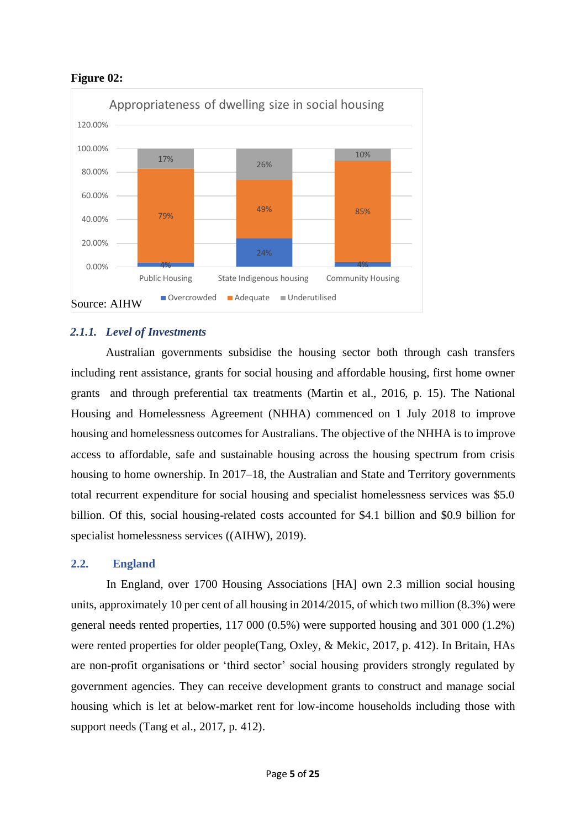## **Figure 02:**



# <span id="page-5-0"></span>*2.1.1. Level of Investments*

Australian governments subsidise the housing sector both through cash transfers including rent assistance, grants for social housing and affordable housing, first home owner grants and through preferential tax treatments (Martin et al., 2016, p. 15). The National Housing and Homelessness Agreement (NHHA) commenced on 1 July 2018 to improve housing and homelessness outcomes for Australians. The objective of the NHHA is to improve access to affordable, safe and sustainable housing across the housing spectrum from crisis housing to home ownership. In 2017–18, the Australian and State and Territory governments total recurrent expenditure for social housing and specialist homelessness services was \$5.0 billion. Of this, social housing-related costs accounted for \$4.1 billion and \$0.9 billion for specialist homelessness services ((AIHW), 2019).

## <span id="page-5-1"></span>**2.2. England**

In England, over 1700 Housing Associations [HA] own 2.3 million social housing units, approximately 10 per cent of all housing in 2014/2015, of which two million (8.3%) were general needs rented properties, 117 000 (0.5%) were supported housing and 301 000 (1.2%) were rented properties for older people(Tang, Oxley, & Mekic, 2017, p. 412). In Britain, HAs are non-profit organisations or 'third sector' social housing providers strongly regulated by government agencies. They can receive development grants to construct and manage social housing which is let at below-market rent for low-income households including those with support needs (Tang et al., 2017, p. 412).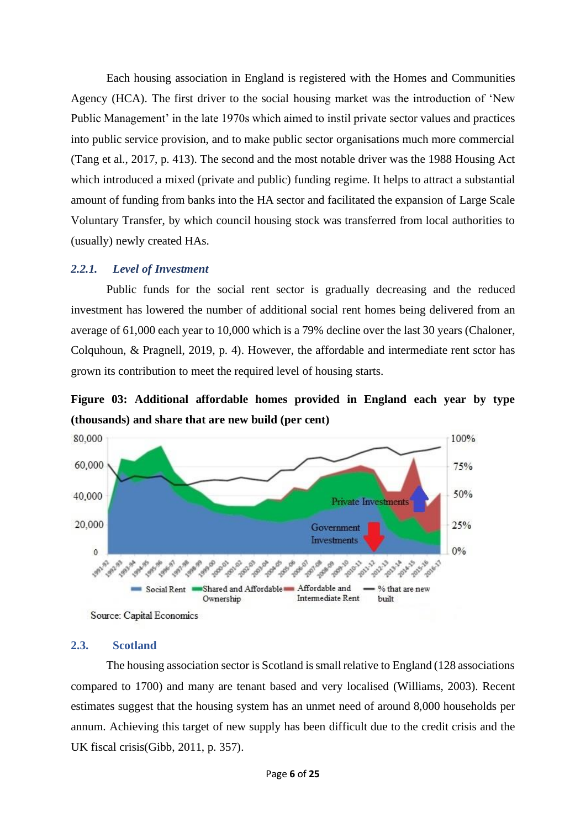Each housing association in England is registered with the Homes and Communities Agency (HCA). The first driver to the social housing market was the introduction of 'New Public Management' in the late 1970s which aimed to instil private sector values and practices into public service provision, and to make public sector organisations much more commercial (Tang et al., 2017, p. 413). The second and the most notable driver was the 1988 Housing Act which introduced a mixed (private and public) funding regime. It helps to attract a substantial amount of funding from banks into the HA sector and facilitated the expansion of Large Scale Voluntary Transfer, by which council housing stock was transferred from local authorities to (usually) newly created HAs.

## <span id="page-6-0"></span>*2.2.1. Level of Investment*

Public funds for the social rent sector is gradually decreasing and the reduced investment has lowered the number of additional social rent homes being delivered from an average of 61,000 each year to 10,000 which is a 79% decline over the last 30 years (Chaloner, Colquhoun, & Pragnell, 2019, p. 4). However, the affordable and intermediate rent sctor has grown its contribution to meet the required level of housing starts.

**Figure 03: Additional affordable homes provided in England each year by type (thousands) and share that are new build (per cent)**



Source: Capital Economics

#### <span id="page-6-1"></span>**2.3. Scotland**

The housing association sector is Scotland is small relative to England (128 associations compared to 1700) and many are tenant based and very localised (Williams, 2003). Recent estimates suggest that the housing system has an unmet need of around 8,000 households per annum. Achieving this target of new supply has been difficult due to the credit crisis and the UK fiscal crisis(Gibb, 2011, p. 357).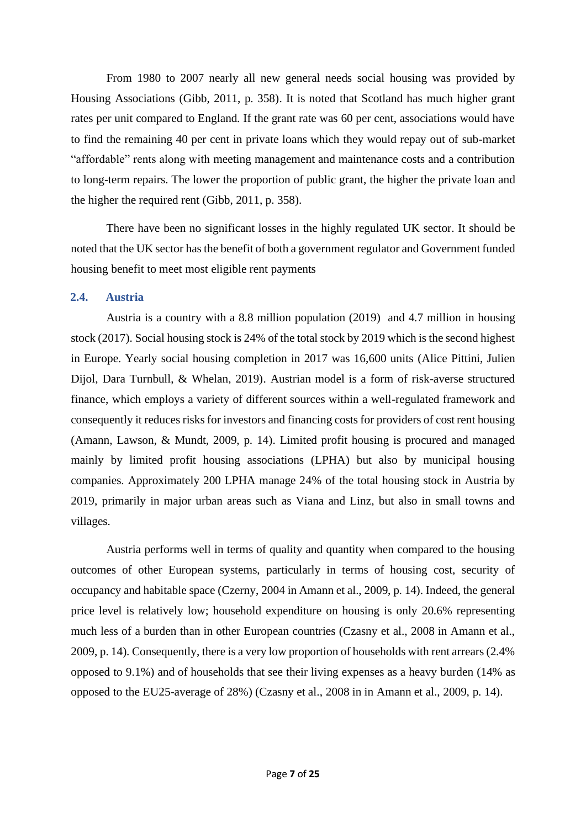From 1980 to 2007 nearly all new general needs social housing was provided by Housing Associations (Gibb, 2011, p. 358). It is noted that Scotland has much higher grant rates per unit compared to England. If the grant rate was 60 per cent, associations would have to find the remaining 40 per cent in private loans which they would repay out of sub-market "affordable" rents along with meeting management and maintenance costs and a contribution to long-term repairs. The lower the proportion of public grant, the higher the private loan and the higher the required rent (Gibb, 2011, p. 358).

There have been no significant losses in the highly regulated UK sector. It should be noted that the UK sector has the benefit of both a government regulator and Government funded housing benefit to meet most eligible rent payments

### <span id="page-7-0"></span>**2.4. Austria**

Austria is a country with a 8.8 million population (2019) and 4.7 million in housing stock (2017). Social housing stock is 24% of the total stock by 2019 which is the second highest in Europe. Yearly social housing completion in 2017 was 16,600 units (Alice Pittini, Julien Dijol, Dara Turnbull, & Whelan, 2019). Austrian model is a form of risk-averse structured finance, which employs a variety of different sources within a well-regulated framework and consequently it reduces risks for investors and financing costs for providers of cost rent housing (Amann, Lawson, & Mundt, 2009, p. 14). Limited profit housing is procured and managed mainly by limited profit housing associations (LPHA) but also by municipal housing companies. Approximately 200 LPHA manage 24% of the total housing stock in Austria by 2019, primarily in major urban areas such as Viana and Linz, but also in small towns and villages.

Austria performs well in terms of quality and quantity when compared to the housing outcomes of other European systems, particularly in terms of housing cost, security of occupancy and habitable space (Czerny, 2004 in Amann et al., 2009, p. 14). Indeed, the general price level is relatively low; household expenditure on housing is only 20.6% representing much less of a burden than in other European countries (Czasny et al., 2008 in Amann et al., 2009, p. 14). Consequently, there is a very low proportion of households with rent arrears (2.4% opposed to 9.1%) and of households that see their living expenses as a heavy burden (14% as opposed to the EU25-average of 28%) (Czasny et al., 2008 in in Amann et al., 2009, p. 14).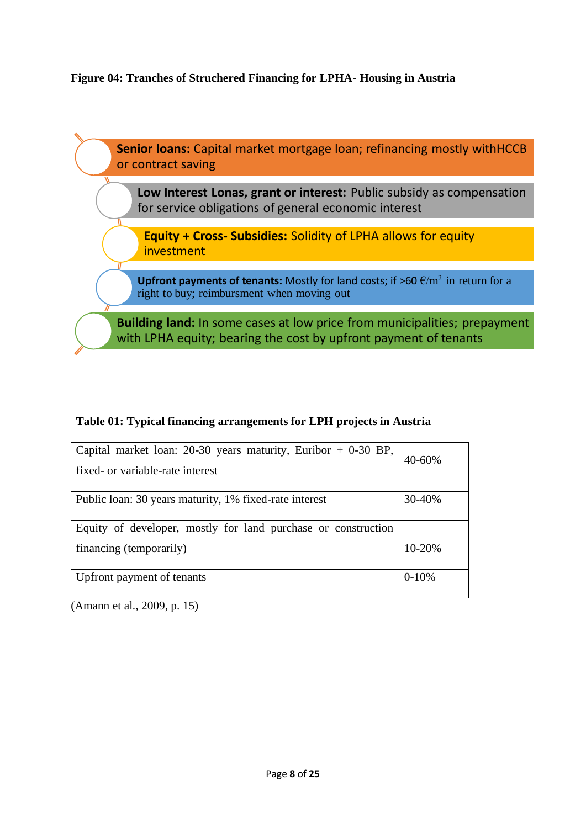# **Figure 04: Tranches of Struchered Financing for LPHA- Housing in Austria**



# **Table 01: Typical financing arrangements for LPH projects in Austria**

| Capital market loan: $20-30$ years maturity, Euribor + 0-30 BP,<br>fixed- or variable-rate interest | 40-60%  |
|-----------------------------------------------------------------------------------------------------|---------|
|                                                                                                     |         |
| Public loan: 30 years maturity, 1% fixed-rate interest                                              | 30-40%  |
|                                                                                                     |         |
| Equity of developer, mostly for land purchase or construction                                       |         |
| financing (temporarily)                                                                             | 10-20%  |
|                                                                                                     |         |
| Upfront payment of tenants                                                                          | $0-10%$ |
|                                                                                                     |         |

(Amann et al., 2009, p. 15)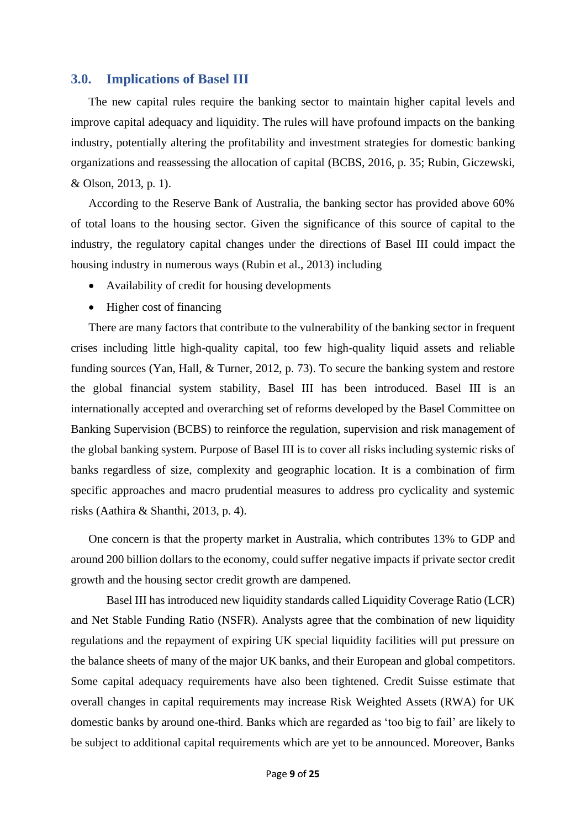### <span id="page-9-0"></span>**3.0. Implications of Basel III**

The new capital rules require the banking sector to maintain higher capital levels and improve capital adequacy and liquidity. The rules will have profound impacts on the banking industry, potentially altering the profitability and investment strategies for domestic banking organizations and reassessing the allocation of capital (BCBS, 2016, p. 35; Rubin, Giczewski, & Olson, 2013, p. 1).

According to the Reserve Bank of Australia, the banking sector has provided above 60% of total loans to the housing sector. Given the significance of this source of capital to the industry, the regulatory capital changes under the directions of Basel III could impact the housing industry in numerous ways (Rubin et al., 2013) including

- Availability of credit for housing developments
- Higher cost of financing

There are many factors that contribute to the vulnerability of the banking sector in frequent crises including little high-quality capital, too few high-quality liquid assets and reliable funding sources (Yan, Hall, & Turner, 2012, p. 73). To secure the banking system and restore the global financial system stability, Basel III has been introduced. Basel III is an internationally accepted and overarching set of reforms developed by the Basel Committee on Banking Supervision (BCBS) to reinforce the regulation, supervision and risk management of the global banking system. Purpose of Basel III is to cover all risks including systemic risks of banks regardless of size, complexity and geographic location. It is a combination of firm specific approaches and macro prudential measures to address pro cyclicality and systemic risks (Aathira & Shanthi, 2013, p. 4).

One concern is that the property market in Australia, which contributes 13% to GDP and around 200 billion dollars to the economy, could suffer negative impacts if private sector credit growth and the housing sector credit growth are dampened.

Basel III has introduced new liquidity standards called Liquidity Coverage Ratio (LCR) and Net Stable Funding Ratio (NSFR). Analysts agree that the combination of new liquidity regulations and the repayment of expiring UK special liquidity facilities will put pressure on the balance sheets of many of the major UK banks, and their European and global competitors. Some capital adequacy requirements have also been tightened. Credit Suisse estimate that overall changes in capital requirements may increase Risk Weighted Assets (RWA) for UK domestic banks by around one-third. Banks which are regarded as 'too big to fail' are likely to be subject to additional capital requirements which are yet to be announced. Moreover, Banks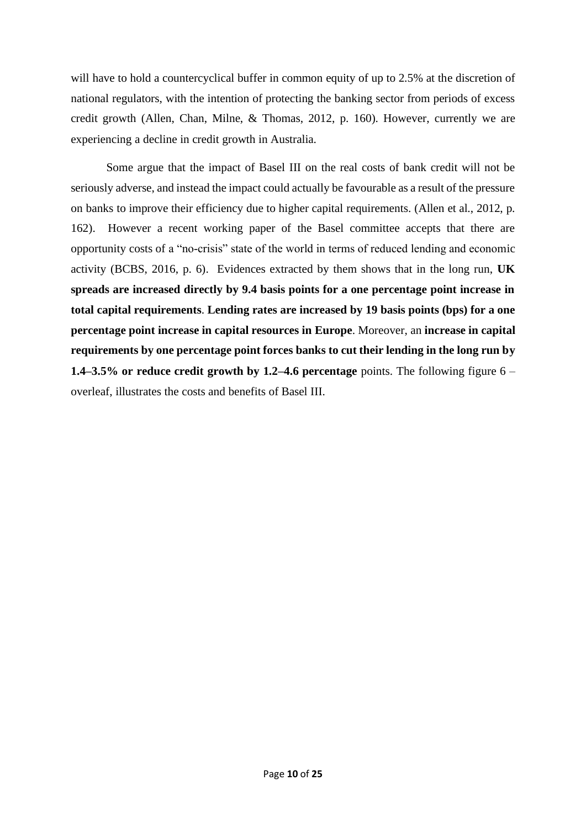will have to hold a countercyclical buffer in common equity of up to 2.5% at the discretion of national regulators, with the intention of protecting the banking sector from periods of excess credit growth (Allen, Chan, Milne, & Thomas, 2012, p. 160). However, currently we are experiencing a decline in credit growth in Australia.

Some argue that the impact of Basel III on the real costs of bank credit will not be seriously adverse, and instead the impact could actually be favourable as a result of the pressure on banks to improve their efficiency due to higher capital requirements. (Allen et al., 2012, p. 162). However a recent working paper of the Basel committee accepts that there are opportunity costs of a "no-crisis" state of the world in terms of reduced lending and economic activity (BCBS, 2016, p. 6). Evidences extracted by them shows that in the long run, **UK spreads are increased directly by 9.4 basis points for a one percentage point increase in total capital requirements**. **Lending rates are increased by 19 basis points (bps) for a one percentage point increase in capital resources in Europe**. Moreover, an **increase in capital requirements by one percentage point forces banks to cut their lending in the long run by 1.4–3.5% or reduce credit growth by 1.2–4.6 percentage** points. The following figure 6 – overleaf, illustrates the costs and benefits of Basel III.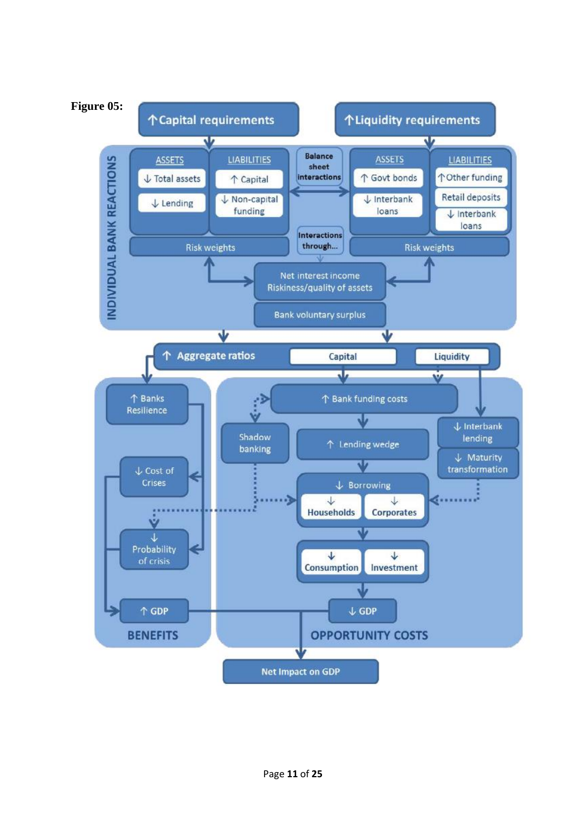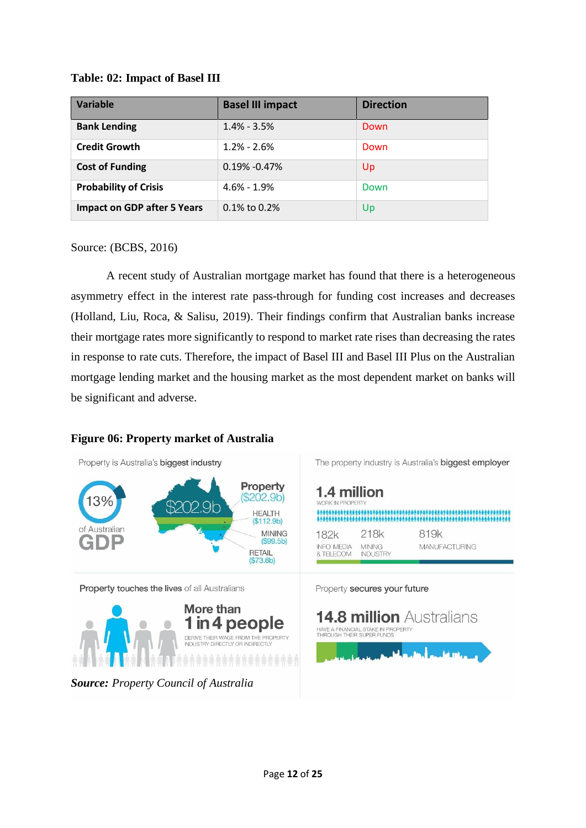## **Table: 02: Impact of Basel III**

| <b>Variable</b>                    | <b>Basel III impact</b> | <b>Direction</b> |
|------------------------------------|-------------------------|------------------|
| <b>Bank Lending</b>                | $1.4\% - 3.5\%$         | Down             |
| <b>Credit Growth</b>               | $1.2\% - 2.6\%$         | Down             |
| <b>Cost of Funding</b>             | $0.19\% - 0.47\%$       | Up               |
| <b>Probability of Crisis</b>       | $4.6\% - 1.9\%$         | Down             |
| <b>Impact on GDP after 5 Years</b> | $0.1\%$ to 0.2%         | Up               |

Source: (BCBS, 2016)

A recent study of Australian mortgage market has found that there is a heterogeneous asymmetry effect in the interest rate pass-through for funding cost increases and decreases (Holland, Liu, Roca, & Salisu, 2019). Their findings confirm that Australian banks increase their mortgage rates more significantly to respond to market rate rises than decreasing the rates in response to rate cuts. Therefore, the impact of Basel III and Basel III Plus on the Australian mortgage lending market and the housing market as the most dependent market on banks will be significant and adverse.

## **Figure 06: Property market of Australia**

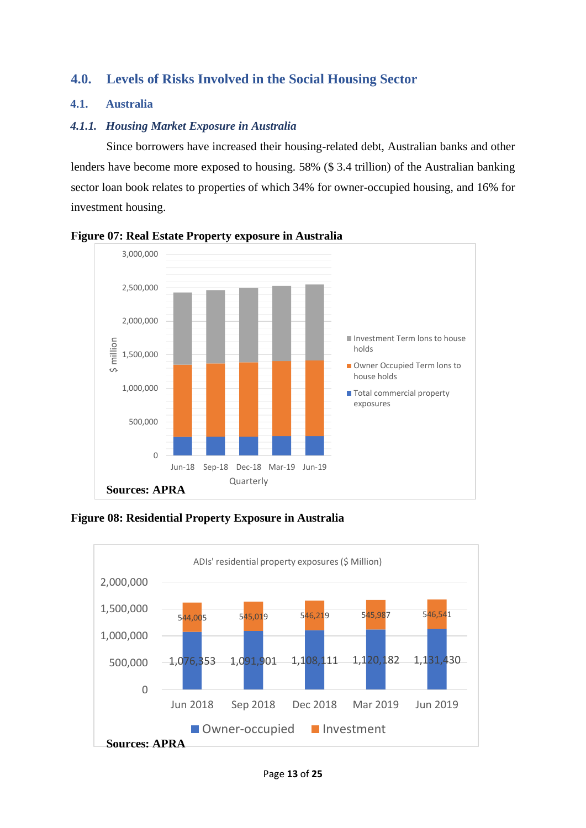# <span id="page-13-0"></span>**4.0. Levels of Risks Involved in the Social Housing Sector**

## <span id="page-13-1"></span>**4.1. Australia**

## <span id="page-13-2"></span>*4.1.1. Housing Market Exposure in Australia*

Since borrowers have increased their housing-related debt, Australian banks and other lenders have become more exposed to housing. 58% (\$ 3.4 trillion) of the Australian banking sector loan book relates to properties of which 34% for owner-occupied housing, and 16% for investment housing.



**Figure 07: Real Estate Property exposure in Australia**

**Figure 08: Residential Property Exposure in Australia** 

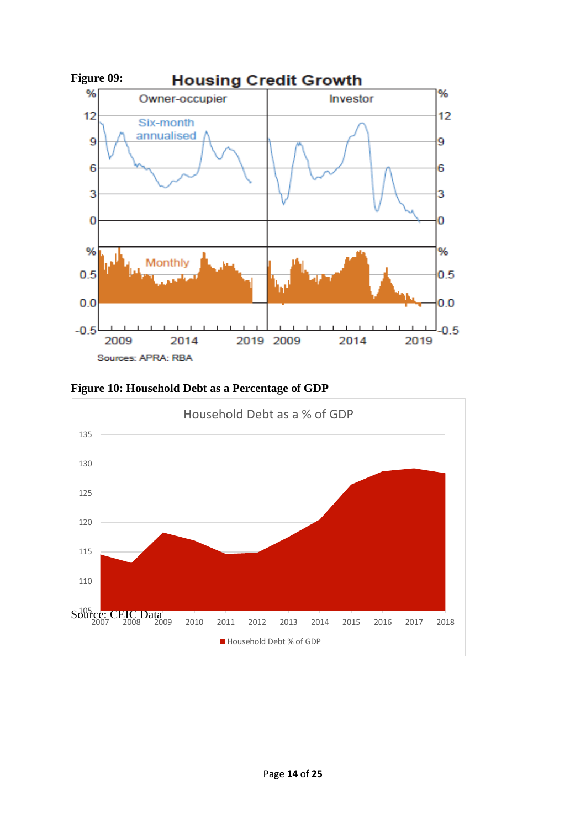

**Figure 10: Household Debt as a Percentage of GDP**

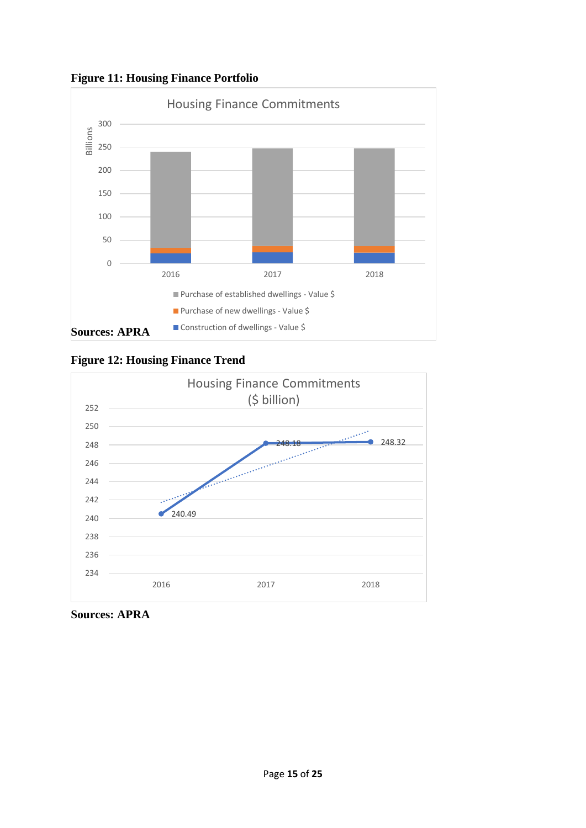**Figure 11: Housing Finance Portfolio** 







**Sources: APRA**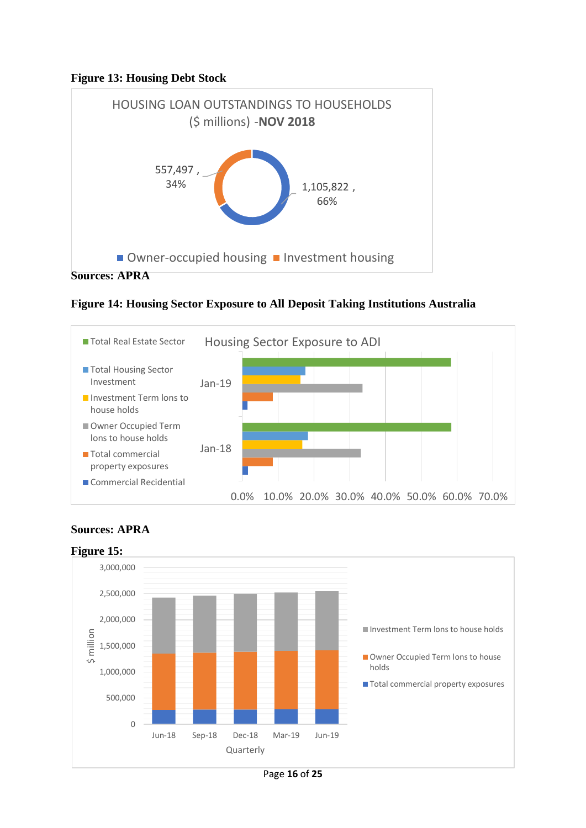## **Figure 13: Housing Debt Stock**



**Figure 14: Housing Sector Exposure to All Deposit Taking Institutions Australia** 





# **Sources: APRA**

Page **16** of **25**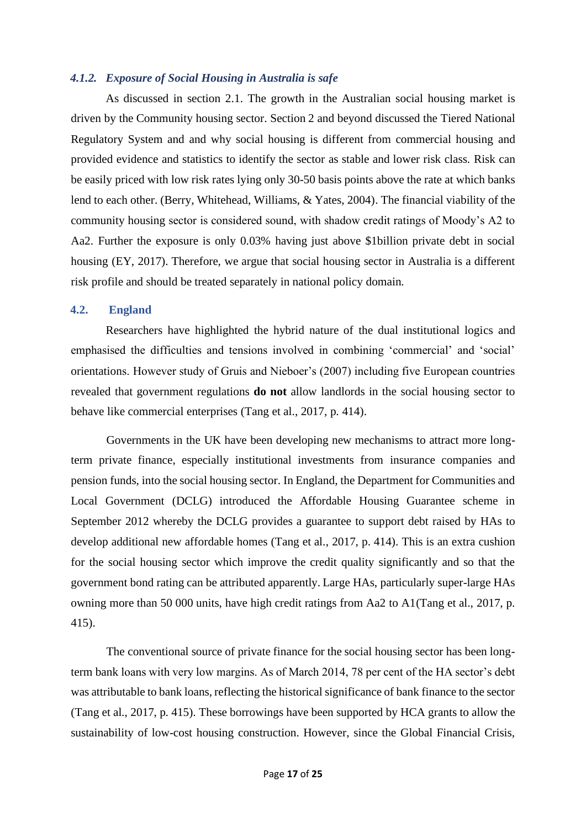## <span id="page-17-0"></span>*4.1.2. Exposure of Social Housing in Australia is safe*

As discussed in section 2.1. The growth in the Australian social housing market is driven by the Community housing sector. Section 2 and beyond discussed the Tiered National Regulatory System and and why social housing is different from commercial housing and provided evidence and statistics to identify the sector as stable and lower risk class. Risk can be easily priced with low risk rates lying only 30-50 basis points above the rate at which banks lend to each other. (Berry, Whitehead, Williams, & Yates, 2004). The financial viability of the community housing sector is considered sound, with shadow credit ratings of Moody's A2 to Aa2. Further the exposure is only 0.03% having just above \$1billion private debt in social housing (EY, 2017). Therefore, we argue that social housing sector in Australia is a different risk profile and should be treated separately in national policy domain.

### <span id="page-17-1"></span>**4.2. England**

Researchers have highlighted the hybrid nature of the dual institutional logics and emphasised the difficulties and tensions involved in combining 'commercial' and 'social' orientations. However study of Gruis and Nieboer's (2007) including five European countries revealed that government regulations **do not** allow landlords in the social housing sector to behave like commercial enterprises (Tang et al., 2017, p. 414).

Governments in the UK have been developing new mechanisms to attract more longterm private finance, especially institutional investments from insurance companies and pension funds, into the social housing sector. In England, the Department for Communities and Local Government (DCLG) introduced the Affordable Housing Guarantee scheme in September 2012 whereby the DCLG provides a guarantee to support debt raised by HAs to develop additional new affordable homes (Tang et al., 2017, p. 414). This is an extra cushion for the social housing sector which improve the credit quality significantly and so that the government bond rating can be attributed apparently. Large HAs, particularly super-large HAs owning more than 50 000 units, have high credit ratings from Aa2 to A1(Tang et al., 2017, p. 415).

The conventional source of private finance for the social housing sector has been longterm bank loans with very low margins. As of March 2014, 78 per cent of the HA sector's debt was attributable to bank loans, reflecting the historical significance of bank finance to the sector (Tang et al., 2017, p. 415). These borrowings have been supported by HCA grants to allow the sustainability of low-cost housing construction. However, since the Global Financial Crisis,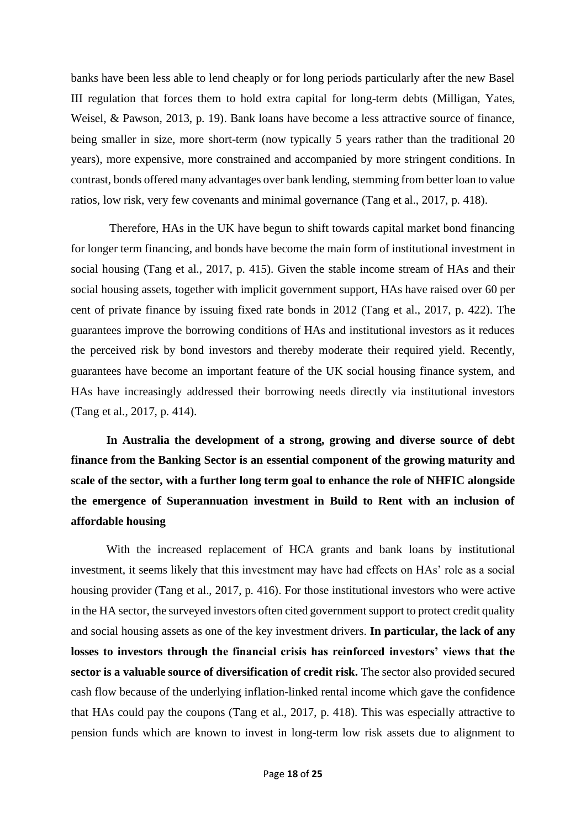banks have been less able to lend cheaply or for long periods particularly after the new Basel III regulation that forces them to hold extra capital for long-term debts (Milligan, Yates, Weisel, & Pawson, 2013, p. 19). Bank loans have become a less attractive source of finance, being smaller in size, more short-term (now typically 5 years rather than the traditional 20 years), more expensive, more constrained and accompanied by more stringent conditions. In contrast, bonds offered many advantages over bank lending, stemming from better loan to value ratios, low risk, very few covenants and minimal governance (Tang et al., 2017, p. 418).

Therefore, HAs in the UK have begun to shift towards capital market bond financing for longer term financing, and bonds have become the main form of institutional investment in social housing (Tang et al., 2017, p. 415). Given the stable income stream of HAs and their social housing assets, together with implicit government support, HAs have raised over 60 per cent of private finance by issuing fixed rate bonds in 2012 (Tang et al., 2017, p. 422). The guarantees improve the borrowing conditions of HAs and institutional investors as it reduces the perceived risk by bond investors and thereby moderate their required yield. Recently, guarantees have become an important feature of the UK social housing finance system, and HAs have increasingly addressed their borrowing needs directly via institutional investors (Tang et al., 2017, p. 414).

**In Australia the development of a strong, growing and diverse source of debt finance from the Banking Sector is an essential component of the growing maturity and scale of the sector, with a further long term goal to enhance the role of NHFIC alongside the emergence of Superannuation investment in Build to Rent with an inclusion of affordable housing**

With the increased replacement of HCA grants and bank loans by institutional investment, it seems likely that this investment may have had effects on HAs' role as a social housing provider (Tang et al., 2017, p. 416). For those institutional investors who were active in the HA sector, the surveyed investors often cited government support to protect credit quality and social housing assets as one of the key investment drivers. **In particular, the lack of any losses to investors through the financial crisis has reinforced investors' views that the sector is a valuable source of diversification of credit risk.** The sector also provided secured cash flow because of the underlying inflation-linked rental income which gave the confidence that HAs could pay the coupons (Tang et al., 2017, p. 418). This was especially attractive to pension funds which are known to invest in long-term low risk assets due to alignment to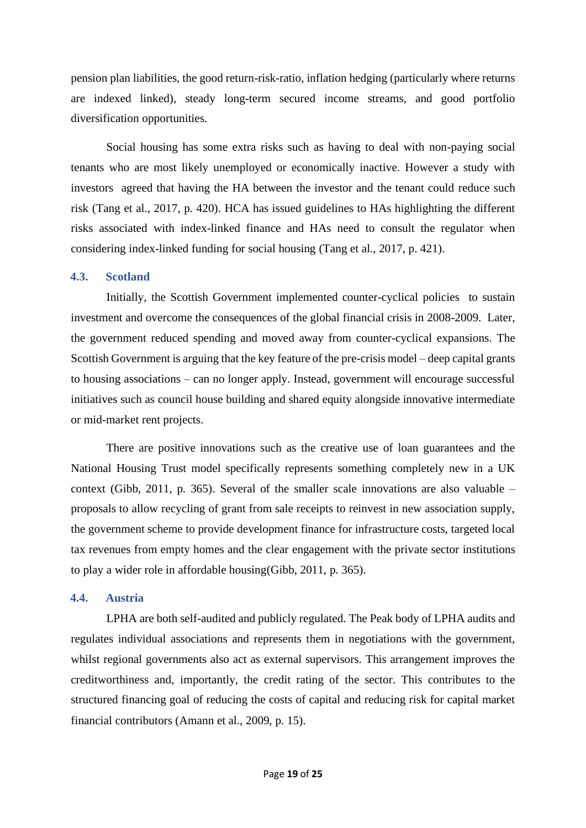pension plan liabilities, the good return-risk-ratio, inflation hedging (particularly where returns are indexed linked), steady long-term secured income streams, and good portfolio diversification opportunities.

Social housing has some extra risks such as having to deal with non-paying social tenants who are most likely unemployed or economically inactive. However a study with investors agreed that having the HA between the investor and the tenant could reduce such risk (Tang et al., 2017, p. 420). HCA has issued guidelines to HAs highlighting the different risks associated with index-linked finance and HAs need to consult the regulator when considering index-linked funding for social housing (Tang et al., 2017, p. 421).

## <span id="page-19-0"></span>**4.3. Scotland**

Initially, the Scottish Government implemented counter-cyclical policies to sustain investment and overcome the consequences of the global financial crisis in 2008-2009. Later, the government reduced spending and moved away from counter-cyclical expansions. The Scottish Government is arguing that the key feature of the pre-crisis model – deep capital grants to housing associations – can no longer apply. Instead, government will encourage successful initiatives such as council house building and shared equity alongside innovative intermediate or mid-market rent projects.

There are positive innovations such as the creative use of loan guarantees and the National Housing Trust model specifically represents something completely new in a UK context (Gibb, 2011, p. 365). Several of the smaller scale innovations are also valuable – proposals to allow recycling of grant from sale receipts to reinvest in new association supply, the government scheme to provide development finance for infrastructure costs, targeted local tax revenues from empty homes and the clear engagement with the private sector institutions to play a wider role in affordable housing(Gibb, 2011, p. 365).

### <span id="page-19-1"></span>**4.4. Austria**

LPHA are both self-audited and publicly regulated. The Peak body of LPHA audits and regulates individual associations and represents them in negotiations with the government, whilst regional governments also act as external supervisors. This arrangement improves the creditworthiness and, importantly, the credit rating of the sector. This contributes to the structured financing goal of reducing the costs of capital and reducing risk for capital market financial contributors (Amann et al., 2009, p. 15).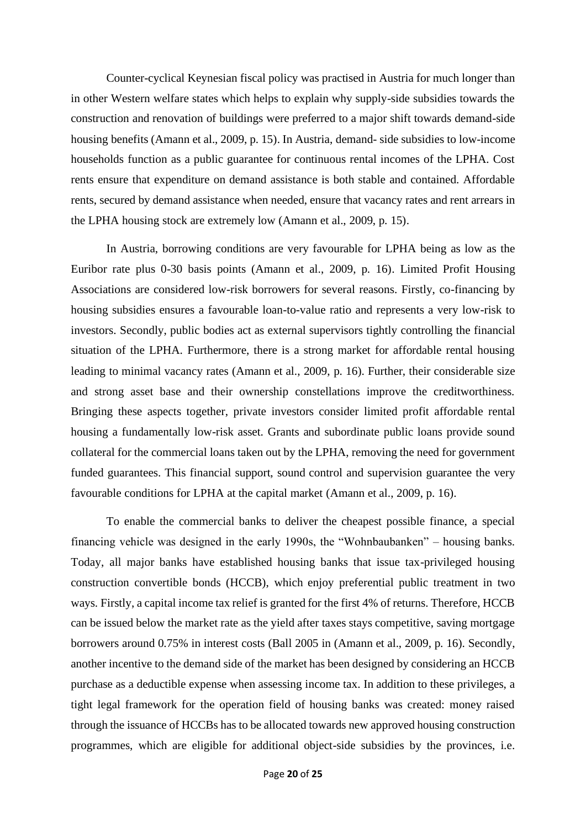Counter-cyclical Keynesian fiscal policy was practised in Austria for much longer than in other Western welfare states which helps to explain why supply-side subsidies towards the construction and renovation of buildings were preferred to a major shift towards demand-side housing benefits (Amann et al., 2009, p. 15). In Austria, demand- side subsidies to low-income households function as a public guarantee for continuous rental incomes of the LPHA. Cost rents ensure that expenditure on demand assistance is both stable and contained. Affordable rents, secured by demand assistance when needed, ensure that vacancy rates and rent arrears in the LPHA housing stock are extremely low (Amann et al., 2009, p. 15).

In Austria, borrowing conditions are very favourable for LPHA being as low as the Euribor rate plus 0-30 basis points (Amann et al., 2009, p. 16). Limited Profit Housing Associations are considered low-risk borrowers for several reasons. Firstly, co-financing by housing subsidies ensures a favourable loan-to-value ratio and represents a very low-risk to investors. Secondly, public bodies act as external supervisors tightly controlling the financial situation of the LPHA. Furthermore, there is a strong market for affordable rental housing leading to minimal vacancy rates (Amann et al., 2009, p. 16). Further, their considerable size and strong asset base and their ownership constellations improve the creditworthiness. Bringing these aspects together, private investors consider limited profit affordable rental housing a fundamentally low-risk asset. Grants and subordinate public loans provide sound collateral for the commercial loans taken out by the LPHA, removing the need for government funded guarantees. This financial support, sound control and supervision guarantee the very favourable conditions for LPHA at the capital market (Amann et al., 2009, p. 16).

To enable the commercial banks to deliver the cheapest possible finance, a special financing vehicle was designed in the early 1990s, the "Wohnbaubanken" – housing banks. Today, all major banks have established housing banks that issue tax-privileged housing construction convertible bonds (HCCB), which enjoy preferential public treatment in two ways. Firstly, a capital income tax relief is granted for the first 4% of returns. Therefore, HCCB can be issued below the market rate as the yield after taxes stays competitive, saving mortgage borrowers around 0.75% in interest costs (Ball 2005 in (Amann et al., 2009, p. 16). Secondly, another incentive to the demand side of the market has been designed by considering an HCCB purchase as a deductible expense when assessing income tax. In addition to these privileges, a tight legal framework for the operation field of housing banks was created: money raised through the issuance of HCCBs has to be allocated towards new approved housing construction programmes, which are eligible for additional object-side subsidies by the provinces, i.e.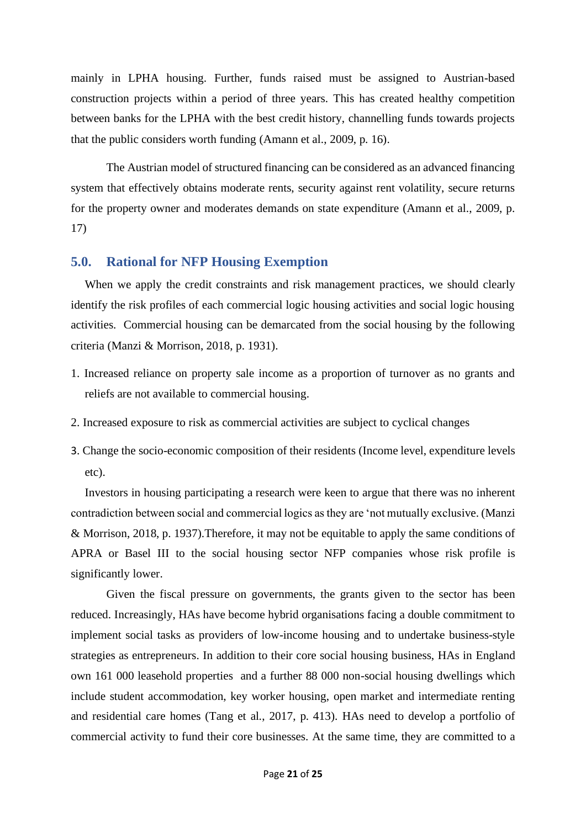mainly in LPHA housing. Further, funds raised must be assigned to Austrian-based construction projects within a period of three years. This has created healthy competition between banks for the LPHA with the best credit history, channelling funds towards projects that the public considers worth funding (Amann et al., 2009, p. 16).

The Austrian model of structured financing can be considered as an advanced financing system that effectively obtains moderate rents, security against rent volatility, secure returns for the property owner and moderates demands on state expenditure (Amann et al., 2009, p. 17)

## <span id="page-21-0"></span>**5.0. Rational for NFP Housing Exemption**

When we apply the credit constraints and risk management practices, we should clearly identify the risk profiles of each commercial logic housing activities and social logic housing activities. Commercial housing can be demarcated from the social housing by the following criteria (Manzi & Morrison, 2018, p. 1931).

- 1. Increased reliance on property sale income as a proportion of turnover as no grants and reliefs are not available to commercial housing.
- 2. Increased exposure to risk as commercial activities are subject to cyclical changes
- 3. Change the socio-economic composition of their residents (Income level, expenditure levels etc).

Investors in housing participating a research were keen to argue that there was no inherent contradiction between social and commercial logics as they are 'not mutually exclusive. (Manzi & Morrison, 2018, p. 1937).Therefore, it may not be equitable to apply the same conditions of APRA or Basel III to the social housing sector NFP companies whose risk profile is significantly lower.

Given the fiscal pressure on governments, the grants given to the sector has been reduced. Increasingly, HAs have become hybrid organisations facing a double commitment to implement social tasks as providers of low-income housing and to undertake business-style strategies as entrepreneurs. In addition to their core social housing business, HAs in England own 161 000 leasehold properties and a further 88 000 non-social housing dwellings which include student accommodation, key worker housing, open market and intermediate renting and residential care homes (Tang et al., 2017, p. 413). HAs need to develop a portfolio of commercial activity to fund their core businesses. At the same time, they are committed to a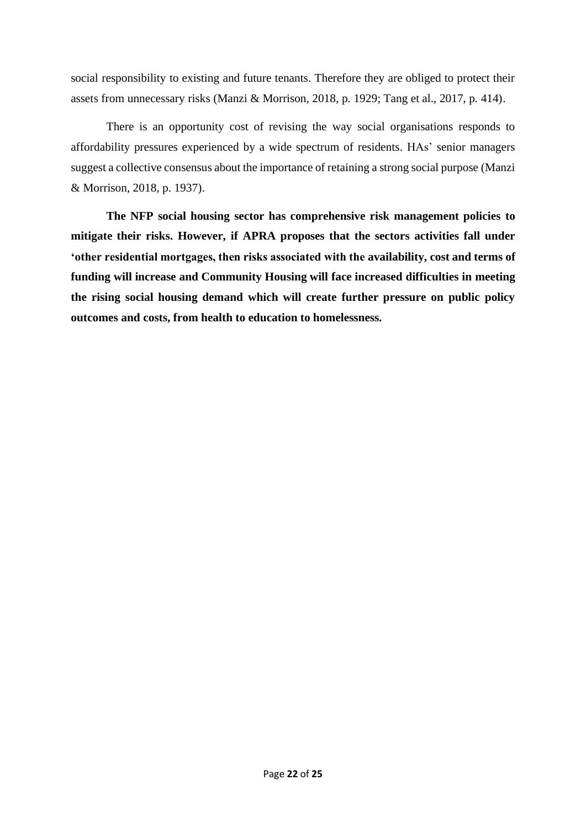social responsibility to existing and future tenants. Therefore they are obliged to protect their assets from unnecessary risks (Manzi & Morrison, 2018, p. 1929; Tang et al., 2017, p. 414).

There is an opportunity cost of revising the way social organisations responds to affordability pressures experienced by a wide spectrum of residents. HAs' senior managers suggest a collective consensus about the importance of retaining a strong social purpose (Manzi & Morrison, 2018, p. 1937).

**The NFP social housing sector has comprehensive risk management policies to mitigate their risks. However, if APRA proposes that the sectors activities fall under 'other residential mortgages, then risks associated with the availability, cost and terms of funding will increase and Community Housing will face increased difficulties in meeting the rising social housing demand which will create further pressure on public policy outcomes and costs, from health to education to homelessness.**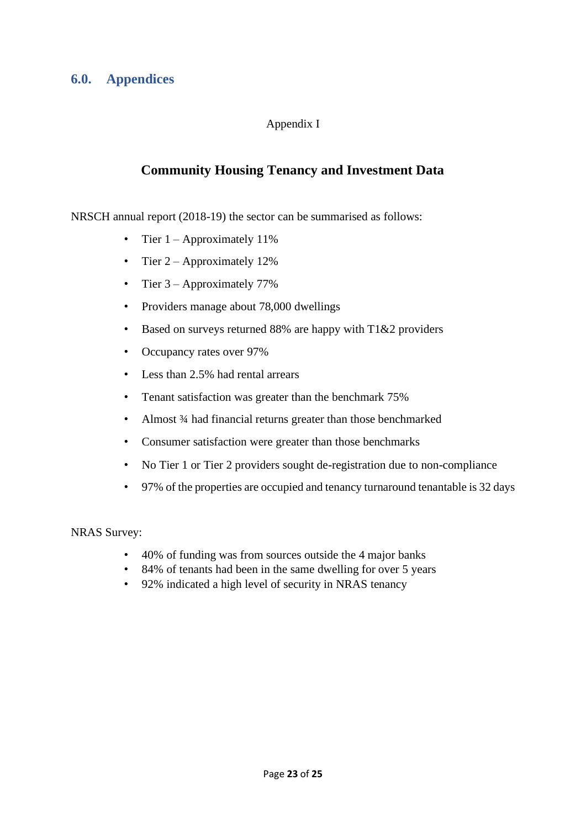# <span id="page-23-0"></span>**6.0. Appendices**

# Appendix I

# **Community Housing Tenancy and Investment Data**

NRSCH annual report (2018-19) the sector can be summarised as follows:

- Tier  $1 -$  Approximately 11%
- Tier 2 Approximately 12%
- Tier 3 Approximately 77%
- Providers manage about 78,000 dwellings
- Based on surveys returned 88% are happy with T1&2 providers
- Occupancy rates over 97%
- Less than 2.5% had rental arrears
- Tenant satisfaction was greater than the benchmark 75%
- Almost 3⁄4 had financial returns greater than those benchmarked
- Consumer satisfaction were greater than those benchmarks
- No Tier 1 or Tier 2 providers sought de-registration due to non-compliance
- 97% of the properties are occupied and tenancy turnaround tenantable is 32 days

NRAS Survey:

- 40% of funding was from sources outside the 4 major banks
- 84% of tenants had been in the same dwelling for over 5 years
- 92% indicated a high level of security in NRAS tenancy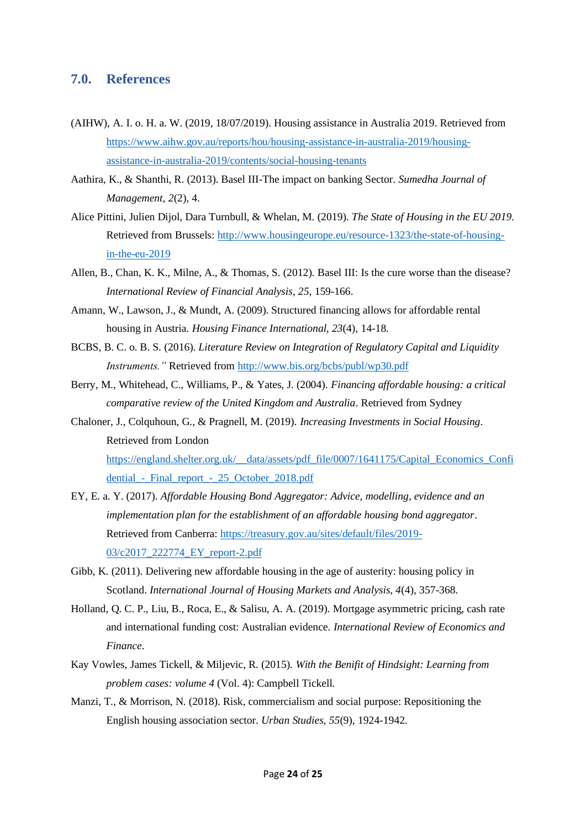## <span id="page-24-0"></span>**7.0. References**

- (AIHW), A. I. o. H. a. W. (2019, 18/07/2019). Housing assistance in Australia 2019. Retrieved from [https://www.aihw.gov.au/reports/hou/housing-assistance-in-australia-2019/housing](https://www.aihw.gov.au/reports/hou/housing-assistance-in-australia-2019/housing-assistance-in-australia-2019/contents/social-housing-tenants)[assistance-in-australia-2019/contents/social-housing-tenants](https://www.aihw.gov.au/reports/hou/housing-assistance-in-australia-2019/housing-assistance-in-australia-2019/contents/social-housing-tenants)
- Aathira, K., & Shanthi, R. (2013). Basel III-The impact on banking Sector. *Sumedha Journal of Management, 2*(2), 4.
- Alice Pittini, Julien Dijol, Dara Turnbull, & Whelan, M. (2019). *The State of Housing in the EU 2019*. Retrieved from Brussels[: http://www.housingeurope.eu/resource-1323/the-state-of-housing](http://www.housingeurope.eu/resource-1323/the-state-of-housing-in-the-eu-2019)[in-the-eu-2019](http://www.housingeurope.eu/resource-1323/the-state-of-housing-in-the-eu-2019)
- Allen, B., Chan, K. K., Milne, A., & Thomas, S. (2012). Basel III: Is the cure worse than the disease? *International Review of Financial Analysis, 25*, 159-166.
- Amann, W., Lawson, J., & Mundt, A. (2009). Structured financing allows for affordable rental housing in Austria. *Housing Finance International, 23*(4), 14-18.
- BCBS, B. C. o. B. S. (2016). *Literature Review on Integration of Regulatory Capital and Liquidity Instruments."* Retrieved from<http://www.bis.org/bcbs/publ/wp30.pdf>
- Berry, M., Whitehead, C., Williams, P., & Yates, J. (2004). *Financing affordable housing: a critical comparative review of the United Kingdom and Australia*. Retrieved from Sydney
- Chaloner, J., Colquhoun, G., & Pragnell, M. (2019). *Increasing Investments in Social Housing*. Retrieved from London [https://england.shelter.org.uk/\\_\\_data/assets/pdf\\_file/0007/1641175/Capital\\_Economics\\_Confi](https://england.shelter.org.uk/__data/assets/pdf_file/0007/1641175/Capital_Economics_Confidential_-_Final_report_-_25_October_2018.pdf) [dential\\_-\\_Final\\_report\\_-\\_25\\_October\\_2018.pdf](https://england.shelter.org.uk/__data/assets/pdf_file/0007/1641175/Capital_Economics_Confidential_-_Final_report_-_25_October_2018.pdf)
- EY, E. a. Y. (2017). *Affordable Housing Bond Aggregator: Advice, modelling, evidence and an implementation plan for the establishment of an affordable housing bond aggregator*. Retrieved from Canberra: [https://treasury.gov.au/sites/default/files/2019-](https://treasury.gov.au/sites/default/files/2019-03/c2017_222774_EY_report-2.pdf) [03/c2017\\_222774\\_EY\\_report-2.pdf](https://treasury.gov.au/sites/default/files/2019-03/c2017_222774_EY_report-2.pdf)
- Gibb, K. (2011). Delivering new affordable housing in the age of austerity: housing policy in Scotland. *International Journal of Housing Markets and Analysis, 4*(4), 357-368.
- Holland, Q. C. P., Liu, B., Roca, E., & Salisu, A. A. (2019). Mortgage asymmetric pricing, cash rate and international funding cost: Australian evidence. *International Review of Economics and Finance*.
- Kay Vowles, James Tickell, & Miljevic, R. (2015). *With the Benifit of Hindsight: Learning from problem cases: volume 4* (Vol. 4): Campbell Tickell.
- Manzi, T., & Morrison, N. (2018). Risk, commercialism and social purpose: Repositioning the English housing association sector. *Urban Studies, 55*(9), 1924-1942.